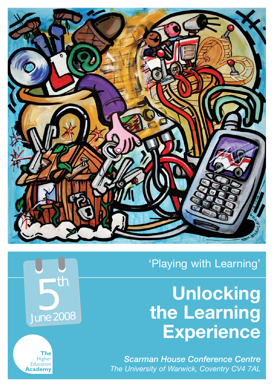

## 'Playing with Learning'

# **Unlocking the Learning Experience**

*Scarman House Conference Centre The University of Warwick, Coventry CV4 7AL*

**5** th June 2008

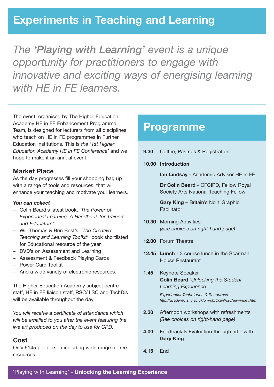### **Experiments in Teaching and Learning**

*The 'Playing with Learning' event is a unique opportunity for practitioners to engage with innovative and exciting ways of energising learning with HE in FE learners.*

The event, organised by The Higher Education Academy HE in FE Enhancement Programme Team, is designed for lecturers from all disciplines who teach on HE in FE programmes in Further Education Institutions. This is *the '1st Higher Education Academy HE in FE Conference'* and we hope to make it an annual event.

### **Market Place**

As the day progresses fill your shopping bag up with a range of tools and resources, that will enhance your teaching and motivate your learners.

#### *You can collect*

- Colin Beard's latest book, '*The Power of Experiential Learning: A Handbook for Trainers and Educators'*
- Will Thomas & Brin Best's, *'The Creative Teaching and Learning Toolkit'* book shortlisted for Educational resource of the year
- DVD's on Assessment and Learning
- Assessment & Feedback Playing Cards
- Power Card Toolkit
- And a wide variety of electronic resources.

The Higher Education Academy subject centre staff, HE in FE liaison staff, RSC/JISC and TechDis will be available throughout the day.

*You will receive a certificate of attendance which will be emailed to you after the event featuring the live art produced on the day to use for CPD.*

### **Cost**

Only £145 per person including wide range of free resources.

### **Programme**

| 9.30 |  | Coffee, Pastries & Registration |  |
|------|--|---------------------------------|--|
|      |  |                                 |  |

**10.00 Introduction**

**Ian Lindsay** - Academic Advisor HE in FE

**Dr Colin Beard** - CFCIPD, Fellow Royal Society Arts National Teaching Fellow

**Gary King** – Britain's No 1 Graphic **Facilitator** 

- **10.30** Morning Activities *(See choices on right-hand page)*
- **12.00** Forum Theatre
- **12.45 Lunch** 3 course lunch in the Scarman House Restaurant
- **1.45** Keynote Speaker **Colin Beard** *'Unlocking the Student Learning Experience'*

*Experiential Techniques & Resources http://academic.shu.ac.uk/om/cb/Colin%20New/index.htm*

- **2.30** Afternoon workshops with refreshments *(See choices on right-hand page)*
- **4.00** Feedback & Evaluation through art with **Gary King**
- **4.15** End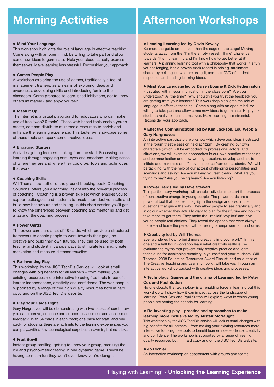#### **• Mind Your Language**

This workshop highlights the role of language in effective teaching. Come along with an open mind, be willing to take part and allow some new ideas to germinate. Help your students really express themselves. Make learning less stressful. Reconsider your approach.

#### **• Games People Play**

A workshop exploring the use of games, traditionally a tool of management trainers, as a means of exploring ideas and awareness, developing skills and introducing fun into the classroom. Come prepared to learn, shed inhibitions, get to know others intimately - and enjoy yourself.

#### $\bullet$  **Mash It Up**

The internet is a virtual playground for educators who can make use of free "web2.0 tools". These web based tools enable you to create, edit and distribute multimedia resources to enrich and enhance the learning experience. This taster will showcase some of these tools and spark some creative ideas.

#### **• Engaging Starters**

Activities getting learners thinking from the start. Focussing on learning through engaging ears, eyes and emotions. Making sense of where they are and where they could be. Tools and techniques that work.

#### **• Coaching Skills**

Will Thomas, co-author of the ground-breaking book, Coaching Solutions, offers you a lightning insight into the powerful process of coaching. Coaching is a proven skill-set which enables you to support colleagues and students to break unproductive habits and build new behaviours and thinking. In this short session you'll get to know the differences between coaching and mentoring and get a taste of the coaching process.

#### **• Power Cards**

The power cards are a set of 18 cards, which provide a structured framework to enable people to work towards their goal, be creative and build their own futures. They can be used by both teacher and student in various ways to stimulate learning, create motivation and measure distance travelled.

#### **• Re-inventing Play**

This workshop by the JISC TechDis Service will look at small changes with big benefits for all learners – from making your existing resources more interactive to using free tools to benefit learner independence, creativity and confidence. The workshop is supported by a range of free high quality resources both in hard copy and on the JISC TechDis website.

#### **• Play Your Cards Right**

Gary Hargreaves will be demonstrating with two packs of cards how you can improve, enhance and support assessment and assessment feedback. With 54 cards in each pack; one pack for staff and one pack for students there are no limits to the learning experiences you can play...with a few technological surprises thrown in, but no tricks.

#### z **Fruit Bowl!**

Instant group profiling: getting to know your group, breaking the ice and psycho-metric testing in one dynamic game. They'll be having so much fun they won't even know you're doing it!

### **Morning Activities | Afternoon Workshops**

#### **• Leading Learning led by Gavin Kewley**

Be more the guide on the side than the sage on the stage! Moving students away from the "I'm the empty vessel, fill me" challenge, towards "It's my learning and I'm know how to get better at it" learners. A planning learning tool with a philosophy that works; it's fun yet challenging, has a proven track record in raising attainment, shared by colleagues who are using it, and their DVD of student responses and leading learning ideas.

#### **• Mind Your Language led by Darren Bourne & Dick Hetherington**

Frustrated with miscommunication in the classroom? Are you understood? All the time? Why shouldn't you trust the feedback you are getting from your learners? This workshop highlights the role of language in effective teaching. Come along with an open mind, be willing to take part and allow some new ideas to germinate. Help your students really express themselves. Make learning less stressful. Reconsider your approach.

#### **• Effective Communication led by Kim Jackson, Lou Webb & Gary Hargreaves**

An interactive participatory workshop which develops ideas illustrated in the forum theatre session held at 12pm. By creating our own characters (which will be embodied by professional actors) and situations, we will examine approaches in our own practice of teaching and communication and how we might explore, develop and act to initiate and maximise an effective response from our students. We will be tackling (with the help of our actors) challenging personalities and scenarios and asking: Are you making yourself clear? What are you trying to say? Are you being heard? Are you listening?

#### **• Power Cards led by Dave Stewart**

This participatory workshop will enable individuals to start the process of constructive change in young people. The power cards are a powerful tool that has real integrity in the design and also in the questions that guide the way. They allow people to see graphically and in colour whether they actually want to plan for their future and how to take steps to get there. They make the 'implicit' 'explicit' and give young people real choices. They reveal the options that were always there – and leave the person with a feeling of empowerment and drive.

#### **• Creativity led by Will Thomas**

Ever wondered how to build more creativity into your work? In this one and a half hour workshop learn what creativity really is, reevaluate the myths that prevent truly creative practice and learn techniques for awakening creativity in yourself and your students. Will Thomas, 2008 Education Resources Award Finalist, and co-author of The Creative Teaching and Learning Toolkit will take you through an interactive workshop packed with creative ideas and processes.

#### **• Technology, Games and the drama of Learning led by Peter Cox and Paul Sutton**

No one doubts that technology is an enabling force in learning but this workshop will show how it can impact across the landscape of learning. Peter Cox and Paul Sutton will explore ways in which young people are setting the agenda for learning.

#### ● Re-inventing play – practice and approaches to make **learning more inclusive led by Alistair McNaught**

This workshop by the JISC TechDis service will look at small changes with big benefits for all learners – from making your existing resources more interactive to using free tools to benefit learner independence, creativity and confidence. The workshop is supported by a range of free high quality resources both in hard copy and on the JISC TechDis website.

#### z **Jo Richler**

An interactive workshop on assessment with groups and teams.